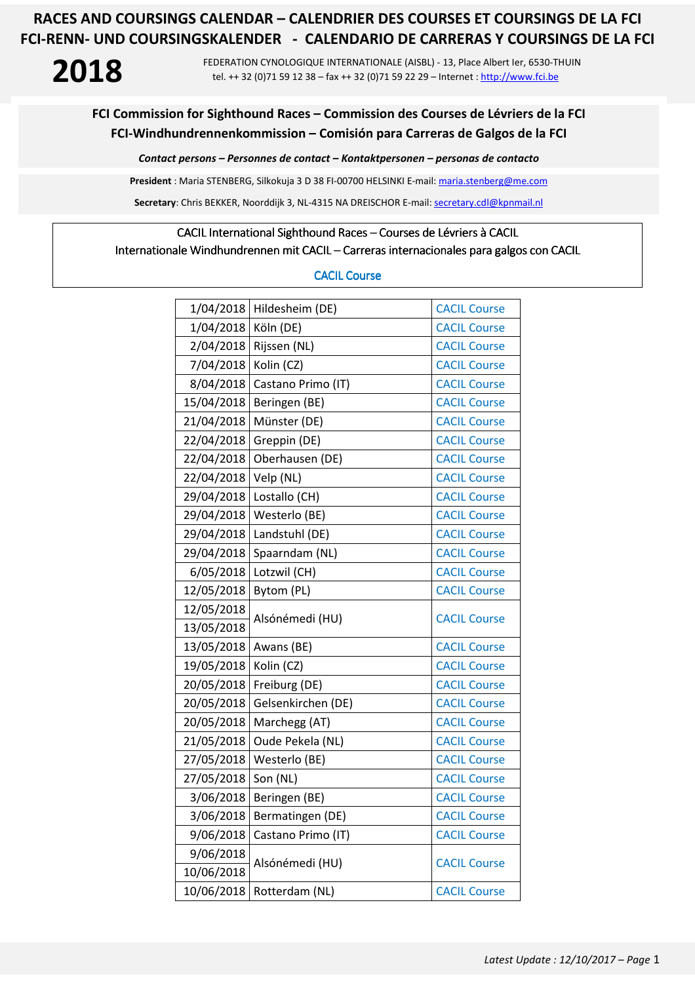**2018** FEDERATION CYNOLOGIQUE INTERNATIONALE (AISBL) - 13, Place Albert Ier, 6530-THUIN tel. ++ 32 (0)71 59 12 38 – fax ++ 32 (0)71 59 22 29 – Internet : http://www.fci.be

### **FCI Commission for Sighthound Races – Commission des Courses de Lévriers de la FCI FCI-Windhundrennenkommission – Comisión para Carreras de Galgos de la FCI**

*Contact persons – Personnes de contact – Kontaktpersonen – personas de contacto* 

**President** : Maria STENBERG, Silkokuja 3 D 38 FI-00700 HELSINKI E-mail: maria.stenberg@me.com

**Secretary**: Chris BEKKER, Noorddijk 3, NL-4315 NA DREISCHOR E-mail: secretary.cdl@kpnmail.nl

### CACIL International Sighthound Races – Courses de Lévriers à CACIL

Internationale Windhundrennen mit CACIL – Carreras internacionales para galgos con CACIL

### CACIL Course

| 1/04/2018  | Hildesheim (DE)    | <b>CACIL Course</b> |
|------------|--------------------|---------------------|
| 1/04/2018  | Köln (DE)          | <b>CACIL Course</b> |
| 2/04/2018  | Rijssen (NL)       | <b>CACIL Course</b> |
| 7/04/2018  | Kolin (CZ)         | <b>CACIL Course</b> |
| 8/04/2018  | Castano Primo (IT) | <b>CACIL Course</b> |
| 15/04/2018 | Beringen (BE)      | <b>CACIL Course</b> |
| 21/04/2018 | Münster (DE)       | <b>CACIL Course</b> |
| 22/04/2018 | Greppin (DE)       | <b>CACIL Course</b> |
| 22/04/2018 | Oberhausen (DE)    | <b>CACIL Course</b> |
| 22/04/2018 | Velp (NL)          | <b>CACIL Course</b> |
| 29/04/2018 | Lostallo (CH)      | <b>CACIL Course</b> |
| 29/04/2018 | Westerlo (BE)      | <b>CACIL Course</b> |
| 29/04/2018 | Landstuhl (DE)     | <b>CACIL Course</b> |
| 29/04/2018 | Spaarndam (NL)     | <b>CACIL Course</b> |
| 6/05/2018  | Lotzwil (CH)       | <b>CACIL Course</b> |
| 12/05/2018 | Bytom (PL)         | <b>CACIL Course</b> |
| 12/05/2018 | Alsónémedi (HU)    | <b>CACIL Course</b> |
| 13/05/2018 |                    |                     |
| 13/05/2018 | Awans (BE)         | <b>CACIL Course</b> |
| 19/05/2018 | Kolin (CZ)         | <b>CACIL Course</b> |
| 20/05/2018 | Freiburg (DE)      | <b>CACIL Course</b> |
| 20/05/2018 | Gelsenkirchen (DE) | <b>CACIL Course</b> |
| 20/05/2018 | Marchegg (AT)      | <b>CACIL Course</b> |
| 21/05/2018 | Oude Pekela (NL)   | <b>CACIL Course</b> |
| 27/05/2018 | Westerlo (BE)      | <b>CACIL Course</b> |
| 27/05/2018 | Son (NL)           | <b>CACIL Course</b> |
| 3/06/2018  | Beringen (BE)      | <b>CACIL Course</b> |
| 3/06/2018  | Bermatingen (DE)   | <b>CACIL Course</b> |
| 9/06/2018  | Castano Primo (IT) | <b>CACIL Course</b> |
| 9/06/2018  | Alsónémedi (HU)    | <b>CACIL Course</b> |
| 10/06/2018 |                    |                     |
| 10/06/2018 | Rotterdam (NL)     | <b>CACIL Course</b> |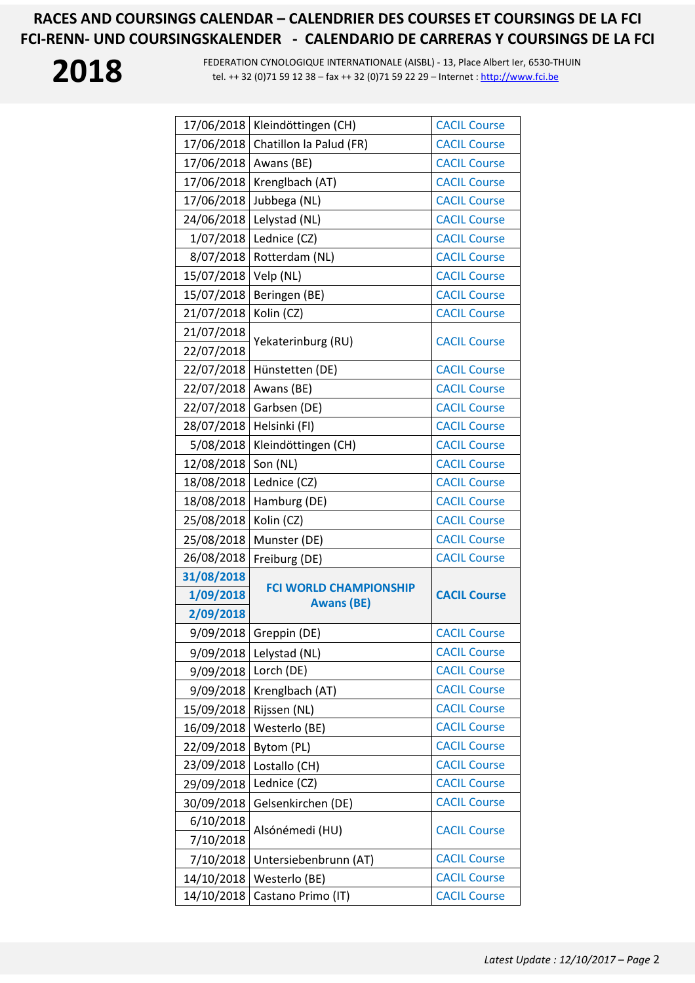

| 17/06/2018 | Kleindöttingen (CH)                                | <b>CACIL Course</b> |
|------------|----------------------------------------------------|---------------------|
| 17/06/2018 | Chatillon la Palud (FR)                            | <b>CACIL Course</b> |
| 17/06/2018 | Awans (BE)                                         | <b>CACIL Course</b> |
| 17/06/2018 | Krenglbach (AT)                                    | <b>CACIL Course</b> |
| 17/06/2018 | Jubbega (NL)                                       | <b>CACIL Course</b> |
| 24/06/2018 | Lelystad (NL)                                      | <b>CACIL Course</b> |
| 1/07/2018  | Lednice (CZ)                                       | <b>CACIL Course</b> |
| 8/07/2018  | Rotterdam (NL)                                     | <b>CACIL Course</b> |
| 15/07/2018 | Velp (NL)                                          | <b>CACIL Course</b> |
| 15/07/2018 | Beringen (BE)                                      | <b>CACIL Course</b> |
| 21/07/2018 | Kolin (CZ)                                         | <b>CACIL Course</b> |
| 21/07/2018 |                                                    |                     |
| 22/07/2018 | Yekaterinburg (RU)                                 | <b>CACIL Course</b> |
| 22/07/2018 | Hünstetten (DE)                                    | <b>CACIL Course</b> |
| 22/07/2018 | Awans (BE)                                         | <b>CACIL Course</b> |
| 22/07/2018 | Garbsen (DE)                                       | <b>CACIL Course</b> |
| 28/07/2018 | Helsinki (FI)                                      | <b>CACIL Course</b> |
| 5/08/2018  | Kleindöttingen (CH)                                | <b>CACIL Course</b> |
| 12/08/2018 | Son (NL)                                           | <b>CACIL Course</b> |
| 18/08/2018 | Lednice (CZ)                                       | <b>CACIL Course</b> |
| 18/08/2018 | Hamburg (DE)                                       | <b>CACIL Course</b> |
| 25/08/2018 | Kolin (CZ)                                         | <b>CACIL Course</b> |
| 25/08/2018 | Munster (DE)                                       | <b>CACIL Course</b> |
| 26/08/2018 | Freiburg (DE)                                      | <b>CACIL Course</b> |
| 31/08/2018 |                                                    |                     |
| 1/09/2018  | <b>FCI WORLD CHAMPIONSHIP</b><br><b>Awans (BE)</b> | <b>CACIL Course</b> |
| 2/09/2018  |                                                    |                     |
| 9/09/2018  | Greppin (DE)                                       | <b>CACIL Course</b> |
| 9/09/2018  | Lelystad (NL)                                      | <b>CACIL Course</b> |
| 9/09/2018  | Lorch (DE)                                         | <b>CACIL Course</b> |
| 9/09/2018  | Krenglbach (AT)                                    | <b>CACIL Course</b> |
| 15/09/2018 | Rijssen (NL)                                       | <b>CACIL Course</b> |
| 16/09/2018 | Westerlo (BE)                                      | <b>CACIL Course</b> |
| 22/09/2018 | Bytom (PL)                                         | <b>CACIL Course</b> |
| 23/09/2018 | Lostallo (CH)                                      | <b>CACIL Course</b> |
| 29/09/2018 | Lednice (CZ)                                       | <b>CACIL Course</b> |
| 30/09/2018 | Gelsenkirchen (DE)                                 | <b>CACIL Course</b> |
| 6/10/2018  | Alsónémedi (HU)                                    | <b>CACIL Course</b> |
| 7/10/2018  |                                                    |                     |
| 7/10/2018  | Untersiebenbrunn (AT)                              | <b>CACIL Course</b> |
| 14/10/2018 | Westerlo (BE)                                      | <b>CACIL Course</b> |
| 14/10/2018 | Castano Primo (IT)                                 | <b>CACIL Course</b> |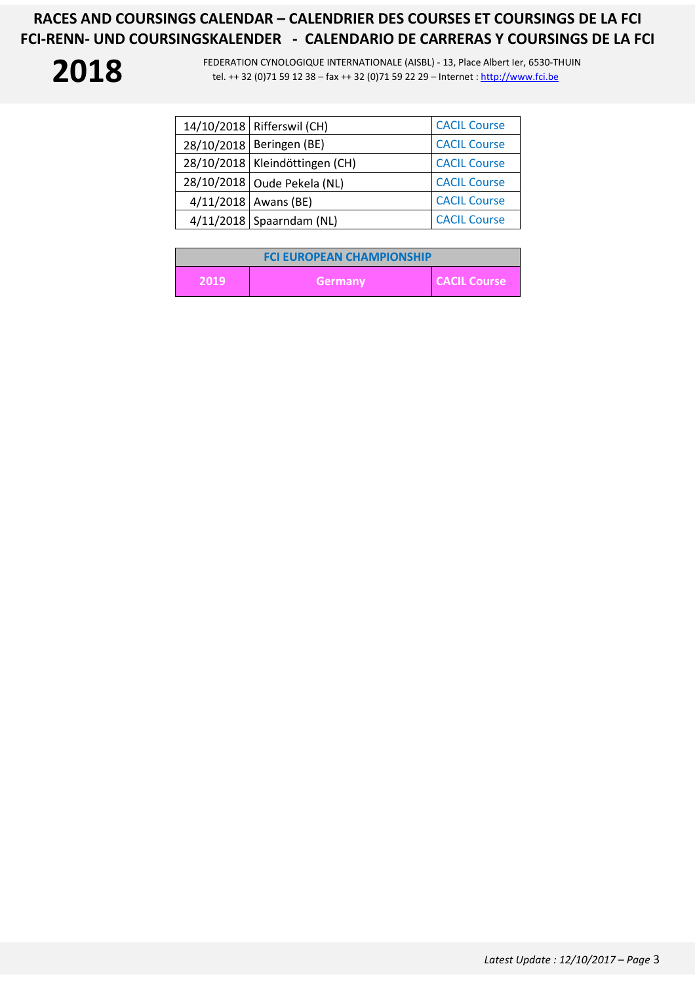| 14/10/2018   Rifferswil (CH)     | <b>CACIL Course</b> |
|----------------------------------|---------------------|
| 28/10/2018   Beringen (BE)       | <b>CACIL Course</b> |
| 28/10/2018   Kleindöttingen (CH) | <b>CACIL Course</b> |
| 28/10/2018 Oude Pekela (NL)      | <b>CACIL Course</b> |
| $4/11/2018$ Awans (BE)           | <b>CACIL Course</b> |
| $4/11/2018$ Spaarndam (NL)       | <b>CACIL Course</b> |

| <b>FCI EUROPEAN CHAMPIONSHIP</b> |         |                     |
|----------------------------------|---------|---------------------|
| 2019                             | Germany | <b>CACIL Course</b> |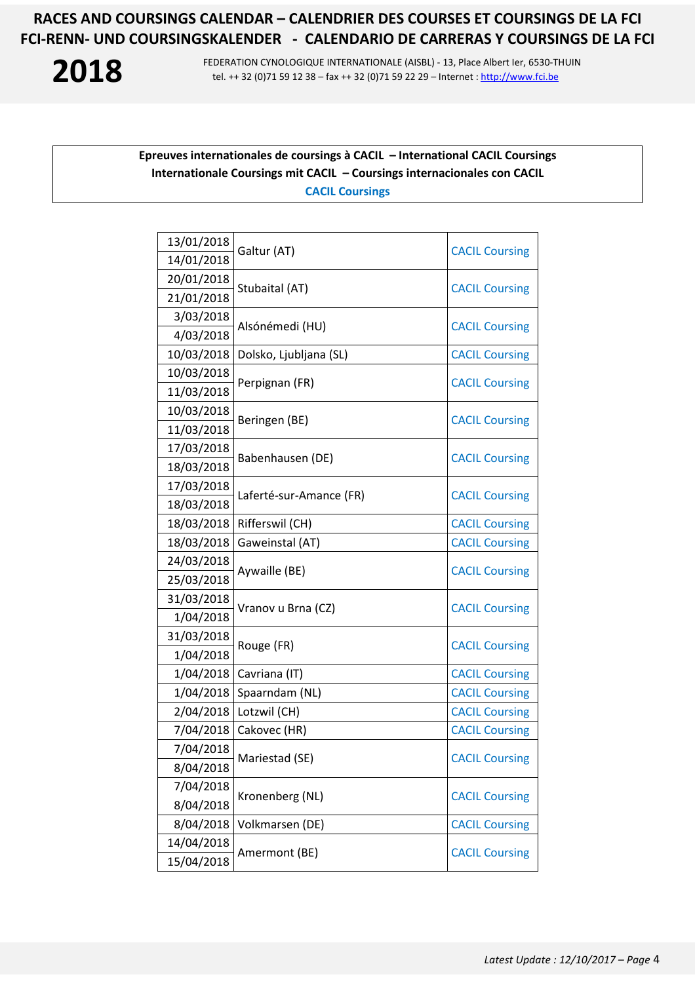**2018** FEDERATION CYNOLOGIQUE INTERNATIONALE (AISBL) - 13, Place Albert Ier, 6530-THUIN tel. ++ 32 (0)71 59 12 38 – fax ++ 32 (0)71 59 22 29 – Internet : http://www.fci.be tel. ++ 32 (0)71 59 12 38 – fax ++ 32 (0)71 59 22 29 – Internet : http://www.fci.be

### **Epreuves internationales de coursings à CACIL – International CACIL Coursings Internationale Coursings mit CACIL – Coursings internacionales con CACIL CACIL Coursings**

| 13/01/2018 | Galtur (AT)             | <b>CACIL Coursing</b> |
|------------|-------------------------|-----------------------|
| 14/01/2018 |                         |                       |
| 20/01/2018 | Stubaital (AT)          | <b>CACIL Coursing</b> |
| 21/01/2018 |                         |                       |
| 3/03/2018  |                         | <b>CACIL Coursing</b> |
| 4/03/2018  | Alsónémedi (HU)         |                       |
| 10/03/2018 | Dolsko, Ljubljana (SL)  | <b>CACIL Coursing</b> |
| 10/03/2018 | Perpignan (FR)          | <b>CACIL Coursing</b> |
| 11/03/2018 |                         |                       |
| 10/03/2018 | Beringen (BE)           |                       |
| 11/03/2018 |                         | <b>CACIL Coursing</b> |
| 17/03/2018 | Babenhausen (DE)        |                       |
| 18/03/2018 |                         | <b>CACIL Coursing</b> |
| 17/03/2018 | Laferté-sur-Amance (FR) | <b>CACIL Coursing</b> |
| 18/03/2018 |                         |                       |
| 18/03/2018 | Rifferswil (CH)         | <b>CACIL Coursing</b> |
| 18/03/2018 | Gaweinstal (AT)         | <b>CACIL Coursing</b> |
| 24/03/2018 | Aywaille (BE)           | <b>CACIL Coursing</b> |
| 25/03/2018 |                         |                       |
| 31/03/2018 | Vranov u Brna (CZ)      | <b>CACIL Coursing</b> |
| 1/04/2018  |                         |                       |
| 31/03/2018 | Rouge (FR)              | <b>CACIL Coursing</b> |
| 1/04/2018  |                         |                       |
| 1/04/2018  | Cavriana (IT)           | <b>CACIL Coursing</b> |
| 1/04/2018  | Spaarndam (NL)          | <b>CACIL Coursing</b> |
| 2/04/2018  | Lotzwil (CH)            | <b>CACIL Coursing</b> |
| 7/04/2018  | Cakovec (HR)            | <b>CACIL Coursing</b> |
| 7/04/2018  | Mariestad (SE)          | <b>CACIL Coursing</b> |
| 8/04/2018  |                         |                       |
| 7/04/2018  | Kronenberg (NL)         | <b>CACIL Coursing</b> |
| 8/04/2018  |                         |                       |
| 8/04/2018  | Volkmarsen (DE)         | <b>CACIL Coursing</b> |
| 14/04/2018 | Amermont (BE)           | <b>CACIL Coursing</b> |
| 15/04/2018 |                         |                       |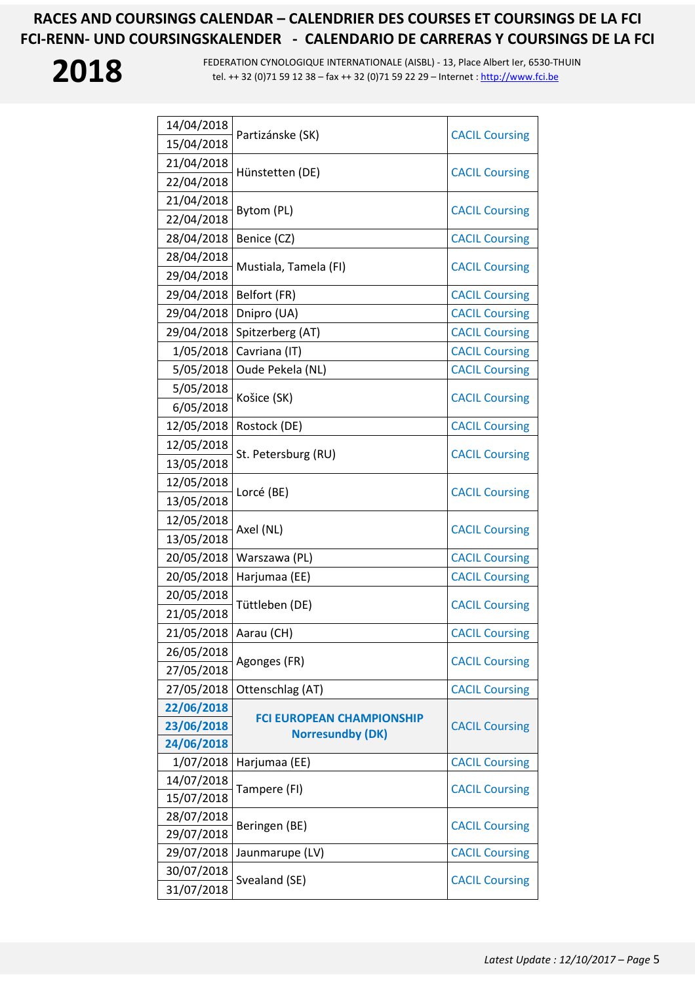| 14/04/2018 | Partizánske (SK)                 | <b>CACIL Coursing</b> |
|------------|----------------------------------|-----------------------|
| 15/04/2018 |                                  |                       |
| 21/04/2018 | Hünstetten (DE)                  | <b>CACIL Coursing</b> |
| 22/04/2018 |                                  |                       |
| 21/04/2018 |                                  | <b>CACIL Coursing</b> |
| 22/04/2018 | Bytom (PL)                       |                       |
| 28/04/2018 | Benice (CZ)                      | <b>CACIL Coursing</b> |
| 28/04/2018 |                                  | <b>CACIL Coursing</b> |
| 29/04/2018 | Mustiala, Tamela (FI)            |                       |
| 29/04/2018 | Belfort (FR)                     | <b>CACIL Coursing</b> |
| 29/04/2018 | Dnipro (UA)                      | <b>CACIL Coursing</b> |
| 29/04/2018 | Spitzerberg (AT)                 | <b>CACIL Coursing</b> |
| 1/05/2018  | Cavriana (IT)                    | <b>CACIL Coursing</b> |
| 5/05/2018  | Oude Pekela (NL)                 | <b>CACIL Coursing</b> |
| 5/05/2018  |                                  |                       |
| 6/05/2018  | Košice (SK)                      | <b>CACIL Coursing</b> |
| 12/05/2018 | Rostock (DE)                     | <b>CACIL Coursing</b> |
| 12/05/2018 | St. Petersburg (RU)              | <b>CACIL Coursing</b> |
| 13/05/2018 |                                  |                       |
| 12/05/2018 | Lorcé (BE)                       | <b>CACIL Coursing</b> |
| 13/05/2018 |                                  |                       |
| 12/05/2018 | Axel (NL)                        | <b>CACIL Coursing</b> |
| 13/05/2018 |                                  |                       |
| 20/05/2018 | Warszawa (PL)                    | <b>CACIL Coursing</b> |
| 20/05/2018 | Harjumaa (EE)                    | <b>CACIL Coursing</b> |
| 20/05/2018 | Tüttleben (DE)                   | <b>CACIL Coursing</b> |
| 21/05/2018 |                                  |                       |
| 21/05/2018 | Aarau (CH)                       | <b>CACIL Coursing</b> |
| 26/05/2018 | Agonges (FR)                     | <b>CACIL Coursing</b> |
| 27/05/2018 |                                  |                       |
| 27/05/2018 | Ottenschlag (AT)                 | <b>CACIL Coursing</b> |
| 22/06/2018 | <b>FCI EUROPEAN CHAMPIONSHIP</b> | <b>CACIL Coursing</b> |
| 23/06/2018 | <b>Norresundby (DK)</b>          |                       |
| 24/06/2018 |                                  |                       |
| 1/07/2018  | Harjumaa (EE)                    | <b>CACIL Coursing</b> |
| 14/07/2018 | Tampere (FI)                     | <b>CACIL Coursing</b> |
| 15/07/2018 |                                  |                       |
| 28/07/2018 | Beringen (BE)                    | <b>CACIL Coursing</b> |
| 29/07/2018 |                                  |                       |
| 29/07/2018 | Jaunmarupe (LV)                  | <b>CACIL Coursing</b> |
| 30/07/2018 | Svealand (SE)                    | <b>CACIL Coursing</b> |
| 31/07/2018 |                                  |                       |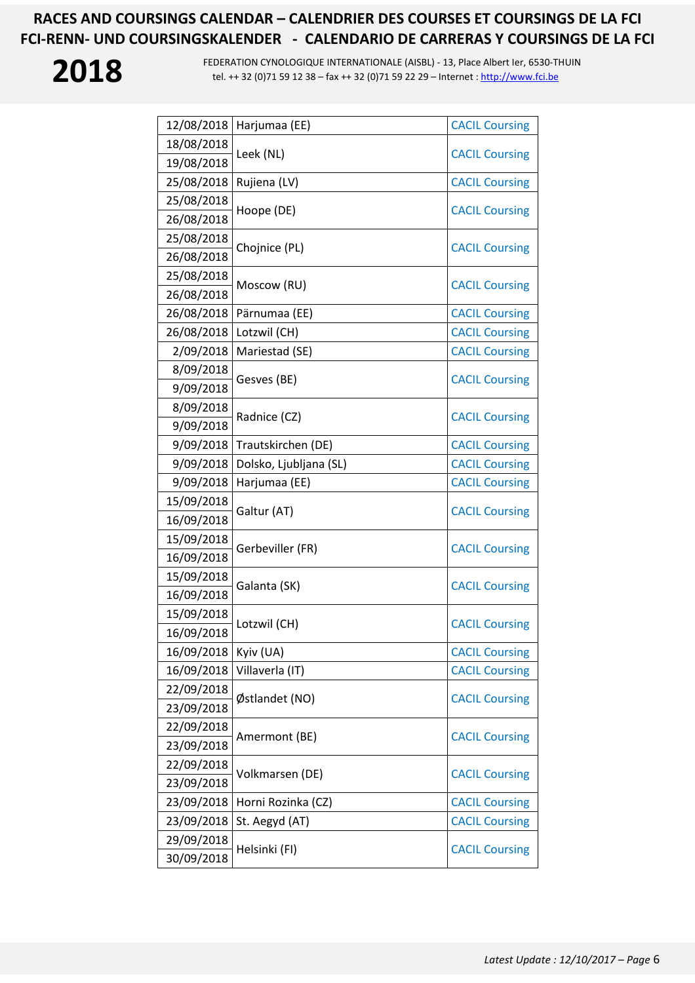| 12/08/2018 | Harjumaa (EE)          | <b>CACIL Coursing</b> |
|------------|------------------------|-----------------------|
| 18/08/2018 | Leek (NL)              | <b>CACIL Coursing</b> |
| 19/08/2018 |                        |                       |
| 25/08/2018 | Rujiena (LV)           | <b>CACIL Coursing</b> |
| 25/08/2018 | Hoope (DE)             | <b>CACIL Coursing</b> |
| 26/08/2018 |                        |                       |
| 25/08/2018 | Chojnice (PL)          | <b>CACIL Coursing</b> |
| 26/08/2018 |                        |                       |
| 25/08/2018 | Moscow (RU)            | <b>CACIL Coursing</b> |
| 26/08/2018 |                        |                       |
| 26/08/2018 | Pärnumaa (EE)          | <b>CACIL Coursing</b> |
| 26/08/2018 | Lotzwil (CH)           | <b>CACIL Coursing</b> |
| 2/09/2018  | Mariestad (SE)         | <b>CACIL Coursing</b> |
| 8/09/2018  | Gesves (BE)            | <b>CACIL Coursing</b> |
| 9/09/2018  |                        |                       |
| 8/09/2018  | Radnice (CZ)           | <b>CACIL Coursing</b> |
| 9/09/2018  |                        |                       |
| 9/09/2018  | Trautskirchen (DE)     | <b>CACIL Coursing</b> |
| 9/09/2018  | Dolsko, Ljubljana (SL) | <b>CACIL Coursing</b> |
| 9/09/2018  | Harjumaa (EE)          | <b>CACIL Coursing</b> |
| 15/09/2018 | Galtur (AT)            | <b>CACIL Coursing</b> |
| 16/09/2018 |                        |                       |
| 15/09/2018 | Gerbeviller (FR)       | <b>CACIL Coursing</b> |
| 16/09/2018 |                        |                       |
| 15/09/2018 | Galanta (SK)           | <b>CACIL Coursing</b> |
| 16/09/2018 |                        |                       |
| 15/09/2018 | Lotzwil (CH)           | <b>CACIL Coursing</b> |
| 16/09/2018 |                        |                       |
| 16/09/2018 | Kyiv (UA)              | <b>CACIL Coursing</b> |
| 16/09/2018 | Villaverla (IT)        | <b>CACIL Coursing</b> |
| 22/09/2018 | Østlandet (NO)         | <b>CACIL Coursing</b> |
| 23/09/2018 |                        |                       |
| 22/09/2018 | Amermont (BE)          | <b>CACIL Coursing</b> |
| 23/09/2018 |                        |                       |
| 22/09/2018 | Volkmarsen (DE)        | <b>CACIL Coursing</b> |
| 23/09/2018 |                        |                       |
| 23/09/2018 | Horni Rozinka (CZ)     | <b>CACIL Coursing</b> |
| 23/09/2018 | St. Aegyd (AT)         | <b>CACIL Coursing</b> |
| 29/09/2018 | Helsinki (FI)          | <b>CACIL Coursing</b> |
| 30/09/2018 |                        |                       |